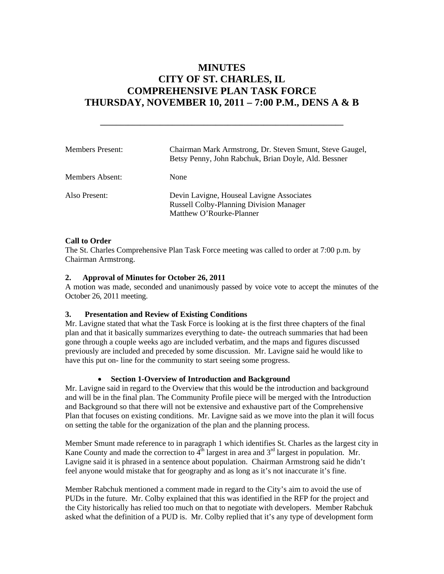# **MINUTES CITY OF ST. CHARLES, IL COMPREHENSIVE PLAN TASK FORCE THURSDAY, NOVEMBER 10, 2011 – 7:00 P.M., DENS A & B**

**\_\_\_\_\_\_\_\_\_\_\_\_\_\_\_\_\_\_\_\_\_\_\_\_\_\_\_\_\_\_\_\_\_\_\_\_\_\_\_\_\_\_\_\_\_\_\_\_\_\_\_\_\_\_\_\_\_\_\_\_\_** 

| <b>Members Present:</b> | Chairman Mark Armstrong, Dr. Steven Smunt, Steve Gaugel,<br>Betsy Penny, John Rabchuk, Brian Doyle, Ald. Bessner        |
|-------------------------|-------------------------------------------------------------------------------------------------------------------------|
| <b>Members Absent:</b>  | <b>None</b>                                                                                                             |
| Also Present:           | Devin Lavigne, Houseal Lavigne Associates<br><b>Russell Colby-Planning Division Manager</b><br>Matthew O'Rourke-Planner |

# **Call to Order**

The St. Charles Comprehensive Plan Task Force meeting was called to order at 7:00 p.m. by Chairman Armstrong.

# **2. Approval of Minutes for October 26, 2011**

A motion was made, seconded and unanimously passed by voice vote to accept the minutes of the October 26, 2011 meeting.

# **3. Presentation and Review of Existing Conditions**

Mr. Lavigne stated that what the Task Force is looking at is the first three chapters of the final plan and that it basically summarizes everything to date- the outreach summaries that had been gone through a couple weeks ago are included verbatim, and the maps and figures discussed previously are included and preceded by some discussion. Mr. Lavigne said he would like to have this put on- line for the community to start seeing some progress.

# **Section 1-Overview of Introduction and Background**

Mr. Lavigne said in regard to the Overview that this would be the introduction and background and will be in the final plan. The Community Profile piece will be merged with the Introduction and Background so that there will not be extensive and exhaustive part of the Comprehensive Plan that focuses on existing conditions. Mr. Lavigne said as we move into the plan it will focus on setting the table for the organization of the plan and the planning process.

Member Smunt made reference to in paragraph 1 which identifies St. Charles as the largest city in Kane County and made the correction to  $4<sup>th</sup>$  largest in area and  $3<sup>rd</sup>$  largest in population. Mr. Lavigne said it is phrased in a sentence about population. Chairman Armstrong said he didn't feel anyone would mistake that for geography and as long as it's not inaccurate it's fine.

Member Rabchuk mentioned a comment made in regard to the City's aim to avoid the use of PUDs in the future. Mr. Colby explained that this was identified in the RFP for the project and the City historically has relied too much on that to negotiate with developers. Member Rabchuk asked what the definition of a PUD is. Mr. Colby replied that it's any type of development form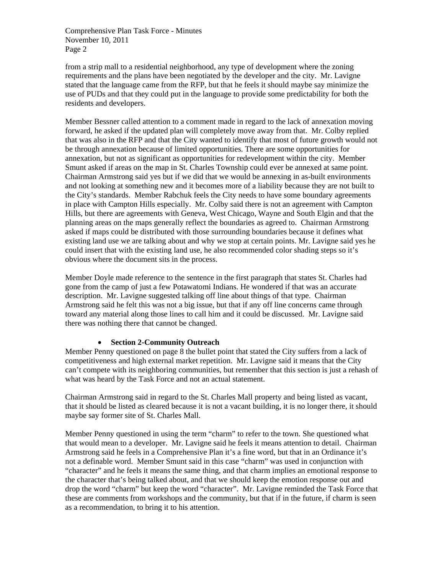from a strip mall to a residential neighborhood, any type of development where the zoning requirements and the plans have been negotiated by the developer and the city. Mr. Lavigne stated that the language came from the RFP, but that he feels it should maybe say minimize the use of PUDs and that they could put in the language to provide some predictability for both the residents and developers.

Member Bessner called attention to a comment made in regard to the lack of annexation moving forward, he asked if the updated plan will completely move away from that. Mr. Colby replied that was also in the RFP and that the City wanted to identify that most of future growth would not be through annexation because of limited opportunities. There are some opportunities for annexation, but not as significant as opportunities for redevelopment within the city. Member Smunt asked if areas on the map in St. Charles Township could ever be annexed at same point. Chairman Armstrong said yes but if we did that we would be annexing in as-built environments and not looking at something new and it becomes more of a liability because they are not built to the City's standards. Member Rabchuk feels the City needs to have some boundary agreements in place with Campton Hills especially. Mr. Colby said there is not an agreement with Campton Hills, but there are agreements with Geneva, West Chicago, Wayne and South Elgin and that the planning areas on the maps generally reflect the boundaries as agreed to. Chairman Armstrong asked if maps could be distributed with those surrounding boundaries because it defines what existing land use we are talking about and why we stop at certain points. Mr. Lavigne said yes he could insert that with the existing land use, he also recommended color shading steps so it's obvious where the document sits in the process.

Member Doyle made reference to the sentence in the first paragraph that states St. Charles had gone from the camp of just a few Potawatomi Indians. He wondered if that was an accurate description. Mr. Lavigne suggested talking off line about things of that type. Chairman Armstrong said he felt this was not a big issue, but that if any off line concerns came through toward any material along those lines to call him and it could be discussed. Mr. Lavigne said there was nothing there that cannot be changed.

# **Section 2-Community Outreach**

Member Penny questioned on page 8 the bullet point that stated the City suffers from a lack of competitiveness and high external market repetition. Mr. Lavigne said it means that the City can't compete with its neighboring communities, but remember that this section is just a rehash of what was heard by the Task Force and not an actual statement.

Chairman Armstrong said in regard to the St. Charles Mall property and being listed as vacant, that it should be listed as cleared because it is not a vacant building, it is no longer there, it should maybe say former site of St. Charles Mall.

Member Penny questioned in using the term "charm" to refer to the town. She questioned what that would mean to a developer. Mr. Lavigne said he feels it means attention to detail. Chairman Armstrong said he feels in a Comprehensive Plan it's a fine word, but that in an Ordinance it's not a definable word. Member Smunt said in this case "charm" was used in conjunction with "character" and he feels it means the same thing, and that charm implies an emotional response to the character that's being talked about, and that we should keep the emotion response out and drop the word "charm" but keep the word "character". Mr. Lavigne reminded the Task Force that these are comments from workshops and the community, but that if in the future, if charm is seen as a recommendation, to bring it to his attention.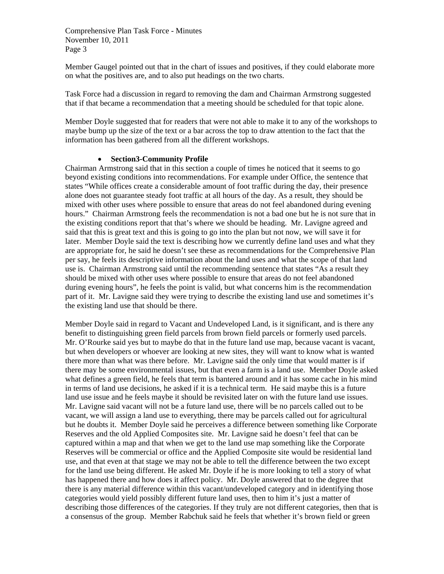Member Gaugel pointed out that in the chart of issues and positives, if they could elaborate more on what the positives are, and to also put headings on the two charts.

Task Force had a discussion in regard to removing the dam and Chairman Armstrong suggested that if that became a recommendation that a meeting should be scheduled for that topic alone.

Member Doyle suggested that for readers that were not able to make it to any of the workshops to maybe bump up the size of the text or a bar across the top to draw attention to the fact that the information has been gathered from all the different workshops.

#### **Section3-Community Profile**

Chairman Armstrong said that in this section a couple of times he noticed that it seems to go beyond existing conditions into recommendations. For example under Office, the sentence that states "While offices create a considerable amount of foot traffic during the day, their presence alone does not guarantee steady foot traffic at all hours of the day. As a result, they should be mixed with other uses where possible to ensure that areas do not feel abandoned during evening hours." Chairman Armstrong feels the recommendation is not a bad one but he is not sure that in the existing conditions report that that's where we should be heading. Mr. Lavigne agreed and said that this is great text and this is going to go into the plan but not now, we will save it for later. Member Doyle said the text is describing how we currently define land uses and what they are appropriate for, he said he doesn't see these as recommendations for the Comprehensive Plan per say, he feels its descriptive information about the land uses and what the scope of that land use is. Chairman Armstrong said until the recommending sentence that states "As a result they should be mixed with other uses where possible to ensure that areas do not feel abandoned during evening hours", he feels the point is valid, but what concerns him is the recommendation part of it. Mr. Lavigne said they were trying to describe the existing land use and sometimes it's the existing land use that should be there.

Member Doyle said in regard to Vacant and Undeveloped Land, is it significant, and is there any benefit to distinguishing green field parcels from brown field parcels or formerly used parcels. Mr. O'Rourke said yes but to maybe do that in the future land use map, because vacant is vacant, but when developers or whoever are looking at new sites, they will want to know what is wanted there more than what was there before. Mr. Lavigne said the only time that would matter is if there may be some environmental issues, but that even a farm is a land use. Member Doyle asked what defines a green field, he feels that term is bantered around and it has some cache in his mind in terms of land use decisions, he asked if it is a technical term. He said maybe this is a future land use issue and he feels maybe it should be revisited later on with the future land use issues. Mr. Lavigne said vacant will not be a future land use, there will be no parcels called out to be vacant, we will assign a land use to everything, there may be parcels called out for agricultural but he doubts it. Member Doyle said he perceives a difference between something like Corporate Reserves and the old Applied Composites site. Mr. Lavigne said he doesn't feel that can be captured within a map and that when we get to the land use map something like the Corporate Reserves will be commercial or office and the Applied Composite site would be residential land use, and that even at that stage we may not be able to tell the difference between the two except for the land use being different. He asked Mr. Doyle if he is more looking to tell a story of what has happened there and how does it affect policy. Mr. Doyle answered that to the degree that there is any material difference within this vacant/undeveloped category and in identifying those categories would yield possibly different future land uses, then to him it's just a matter of describing those differences of the categories. If they truly are not different categories, then that is a consensus of the group. Member Rabchuk said he feels that whether it's brown field or green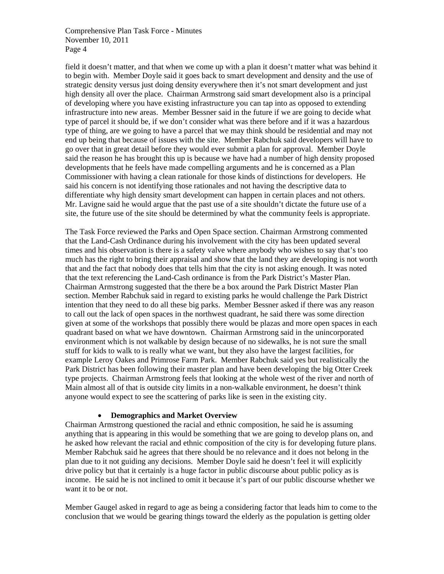field it doesn't matter, and that when we come up with a plan it doesn't matter what was behind it to begin with. Member Doyle said it goes back to smart development and density and the use of strategic density versus just doing density everywhere then it's not smart development and just high density all over the place. Chairman Armstrong said smart development also is a principal of developing where you have existing infrastructure you can tap into as opposed to extending infrastructure into new areas. Member Bessner said in the future if we are going to decide what type of parcel it should be, if we don't consider what was there before and if it was a hazardous type of thing, are we going to have a parcel that we may think should be residential and may not end up being that because of issues with the site. Member Rabchuk said developers will have to go over that in great detail before they would ever submit a plan for approval. Member Doyle said the reason he has brought this up is because we have had a number of high density proposed developments that he feels have made compelling arguments and he is concerned as a Plan Commissioner with having a clean rationale for those kinds of distinctions for developers. He said his concern is not identifying those rationales and not having the descriptive data to differentiate why high density smart development can happen in certain places and not others. Mr. Lavigne said he would argue that the past use of a site shouldn't dictate the future use of a site, the future use of the site should be determined by what the community feels is appropriate.

The Task Force reviewed the Parks and Open Space section. Chairman Armstrong commented that the Land-Cash Ordinance during his involvement with the city has been updated several times and his observation is there is a safety valve where anybody who wishes to say that's too much has the right to bring their appraisal and show that the land they are developing is not worth that and the fact that nobody does that tells him that the city is not asking enough. It was noted that the text referencing the Land-Cash ordinance is from the Park District's Master Plan. Chairman Armstrong suggested that the there be a box around the Park District Master Plan section. Member Rabchuk said in regard to existing parks he would challenge the Park District intention that they need to do all these big parks. Member Bessner asked if there was any reason to call out the lack of open spaces in the northwest quadrant, he said there was some direction given at some of the workshops that possibly there would be plazas and more open spaces in each quadrant based on what we have downtown. Chairman Armstrong said in the unincorporated environment which is not walkable by design because of no sidewalks, he is not sure the small stuff for kids to walk to is really what we want, but they also have the largest facilities, for example Leroy Oakes and Primrose Farm Park. Member Rabchuk said yes but realistically the Park District has been following their master plan and have been developing the big Otter Creek type projects. Chairman Armstrong feels that looking at the whole west of the river and north of Main almost all of that is outside city limits in a non-walkable environment, he doesn't think anyone would expect to see the scattering of parks like is seen in the existing city.

#### **Demographics and Market Overview**

Chairman Armstrong questioned the racial and ethnic composition, he said he is assuming anything that is appearing in this would be something that we are going to develop plans on, and he asked how relevant the racial and ethnic composition of the city is for developing future plans. Member Rabchuk said he agrees that there should be no relevance and it does not belong in the plan due to it not guiding any decisions. Member Doyle said he doesn't feel it will explicitly drive policy but that it certainly is a huge factor in public discourse about public policy as is income. He said he is not inclined to omit it because it's part of our public discourse whether we want it to be or not.

Member Gaugel asked in regard to age as being a considering factor that leads him to come to the conclusion that we would be gearing things toward the elderly as the population is getting older